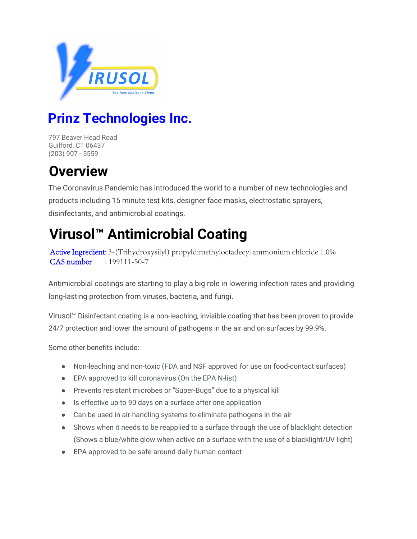

## **Prinz Technologies Inc.**

797 Beaver Head Road Guilford, CT 06437 (203) 907 - 5559

## **Overview**

The Coronavirus Pandemic has introduced the world to a number of new technologies and products including 15 minute test kits, designer face masks, electrostatic sprayers, disinfectants, and antimicrobial coatings.

## **Virusol™ Antimicrobial Coating**

Active Ingredient: 3-(Trihydroxysilyl) propyldimethyloctadecyl ammonium chloride 1.0% CAS number : 199111-50-7

Antimicrobial coatings are starting to play a big role in lowering infection rates and providing long-lasting protection from viruses, bacteria, and fungi.

Virusol™ Disinfectant coating is a non-leaching, invisible coating that has been proven to provide 24/7 protection and lower the amount of pathogens in the air and on surfaces by 99.9%.

Some other benefits include:

- Non-leaching and non-toxic (FDA and NSF approved for use on food-contact surfaces)
- EPA approved to kill coronavirus (On the EPA N-list)
- Prevents resistant microbes or "Super-Bugs" due to a physical kill
- Is effective up to 90 days on a surface after one application
- Can be used in air-handling systems to eliminate pathogens in the air
- Shows when it needs to be reapplied to a surface through the use of blacklight detection (Shows a blue/white glow when active on a surface with the use of a blacklight/UV light)
- EPA approved to be safe around daily human contact